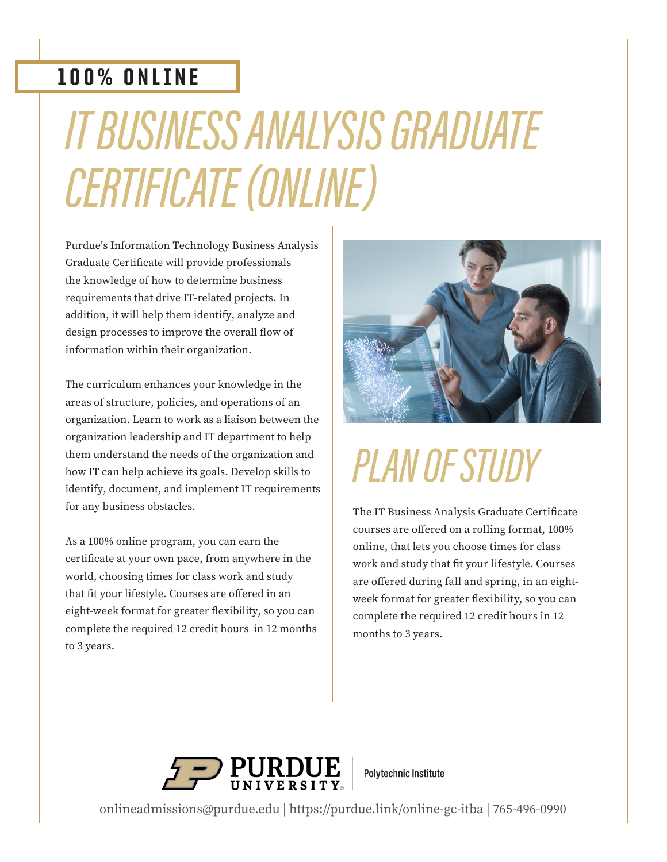### 100% ONLINE

# IT BUSINESS ANALYSIS GRADUATE CERTIFICATE (ONLINE)

Purdue's Information Technology Business Analysis Graduate Certificate will provide professionals the knowledge of how to determine business requirements that drive IT-related projects. In addition, it will help them identify, analyze and design processes to improve the overall flow of information within their organization.

The curriculum enhances your knowledge in the areas of structure, policies, and operations of an organization. Learn to work as a liaison between the organization leadership and IT department to help them understand the needs of the organization and how IT can help achieve its goals. Develop skills to identify, document, and implement IT requirements for any business obstacles.

As a 100% online program, you can earn the certificate at your own pace, from anywhere in the world, choosing times for class work and study that fit your lifestyle. Courses are offered in an eight-week format for greater flexibility, so you can complete the required 12 credit hours in 12 months to 3 years.



## PLAN OF STUDY

The IT Business Analysis Graduate Certificate courses are offered on a rolling format, 100% online, that lets you choose times for class work and study that fit your lifestyle. Courses are offered during fall and spring, in an eightweek format for greater flexibility, so you can complete the required 12 credit hours in 12 months to 3 years.



**Polytechnic Institute** 

onlineadmissions@purdue.edu | https://purdue.link/online-gc-itba | 765-496-0990